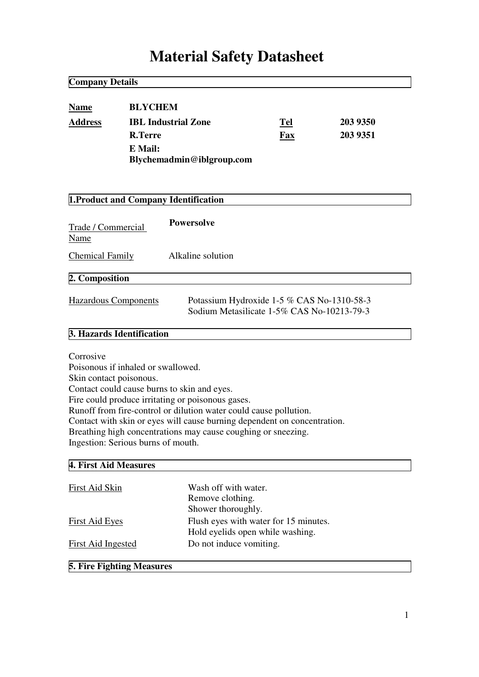# **Material Safety Datasheet**

| <b>BLYCHEM</b><br><b>Name</b><br><b>Address</b><br><b>IBL Industrial Zone</b><br><b>R.Terre</b><br>E Mail:                                                                                                                                                                                                                                                                                                                             | Blychemadmin@iblgroup.com                                                                | Tel<br>Fax | 203 9350<br>203 9351 |
|----------------------------------------------------------------------------------------------------------------------------------------------------------------------------------------------------------------------------------------------------------------------------------------------------------------------------------------------------------------------------------------------------------------------------------------|------------------------------------------------------------------------------------------|------------|----------------------|
| 1. Product and Company Identification                                                                                                                                                                                                                                                                                                                                                                                                  |                                                                                          |            |                      |
| Trade / Commercial<br>Name                                                                                                                                                                                                                                                                                                                                                                                                             | <b>Powersolve</b>                                                                        |            |                      |
| <b>Chemical Family</b>                                                                                                                                                                                                                                                                                                                                                                                                                 | Alkaline solution                                                                        |            |                      |
| 2. Composition                                                                                                                                                                                                                                                                                                                                                                                                                         |                                                                                          |            |                      |
| <b>Hazardous Components</b>                                                                                                                                                                                                                                                                                                                                                                                                            | Potassium Hydroxide 1-5 % CAS No-1310-58-3<br>Sodium Metasilicate 1-5% CAS No-10213-79-3 |            |                      |
| 3. Hazards Identification                                                                                                                                                                                                                                                                                                                                                                                                              |                                                                                          |            |                      |
| Corrosive<br>Poisonous if inhaled or swallowed.<br>Skin contact poisonous.<br>Contact could cause burns to skin and eyes.<br>Fire could produce irritating or poisonous gases.<br>Runoff from fire-control or dilution water could cause pollution.<br>Contact with skin or eyes will cause burning dependent on concentration.<br>Breathing high concentrations may cause coughing or sneezing.<br>Ingestion: Serious burns of mouth. |                                                                                          |            |                      |
| 4. First Aid Measures                                                                                                                                                                                                                                                                                                                                                                                                                  |                                                                                          |            |                      |
| First Aid Skin                                                                                                                                                                                                                                                                                                                                                                                                                         | Wash off with water.<br>Remove clothing.<br>Shower thoroughly.                           |            |                      |
| <b>First Aid Eyes</b>                                                                                                                                                                                                                                                                                                                                                                                                                  | Flush eyes with water for 15 minutes.<br>Hold eyelids open while washing.                |            |                      |
| <b>First Aid Ingested</b>                                                                                                                                                                                                                                                                                                                                                                                                              | Do not induce vomiting.                                                                  |            |                      |

**5. Fire Fighting Measures**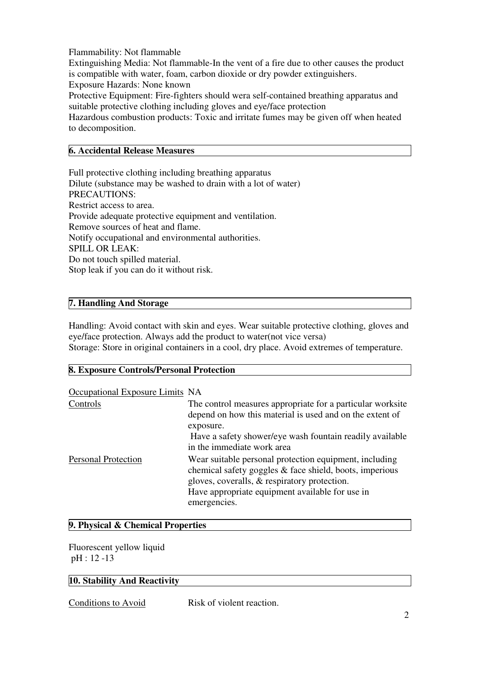Flammability: Not flammable

Extinguishing Media: Not flammable-In the vent of a fire due to other causes the product is compatible with water, foam, carbon dioxide or dry powder extinguishers. Exposure Hazards: None known

Protective Equipment: Fire-fighters should wera self-contained breathing apparatus and suitable protective clothing including gloves and eye/face protection

Hazardous combustion products: Toxic and irritate fumes may be given off when heated to decomposition.

#### **6. Accidental Release Measures**

Full protective clothing including breathing apparatus Dilute (substance may be washed to drain with a lot of water) PRECAUTIONS: Restrict access to area. Provide adequate protective equipment and ventilation. Remove sources of heat and flame. Notify occupational and environmental authorities. SPILL OR LEAK: Do not touch spilled material. Stop leak if you can do it without risk.

#### **7. Handling And Storage**

Handling: Avoid contact with skin and eyes. Wear suitable protective clothing, gloves and eye/face protection. Always add the product to water(not vice versa) Storage: Store in original containers in a cool, dry place. Avoid extremes of temperature.

#### **8. Exposure Controls/Personal Protection**

| Occupational Exposure Limits NA |                                                                                                                                                                   |
|---------------------------------|-------------------------------------------------------------------------------------------------------------------------------------------------------------------|
| Controls                        | The control measures appropriate for a particular worksite                                                                                                        |
|                                 | depend on how this material is used and on the extent of                                                                                                          |
|                                 | exposure.                                                                                                                                                         |
|                                 | Have a safety shower/eye wash fountain readily available                                                                                                          |
|                                 | in the immediate work area                                                                                                                                        |
| <b>Personal Protection</b>      | Wear suitable personal protection equipment, including<br>chemical safety goggles & face shield, boots, imperious<br>gloves, coveralls, & respiratory protection. |
|                                 | Have appropriate equipment available for use in                                                                                                                   |
|                                 | emergencies.                                                                                                                                                      |
|                                 |                                                                                                                                                                   |

#### **9. Physical & Chemical Properties**

Fluorescent yellow liquid pH : 12 -13

#### **10. Stability And Reactivity**

Conditions to Avoid Risk of violent reaction.